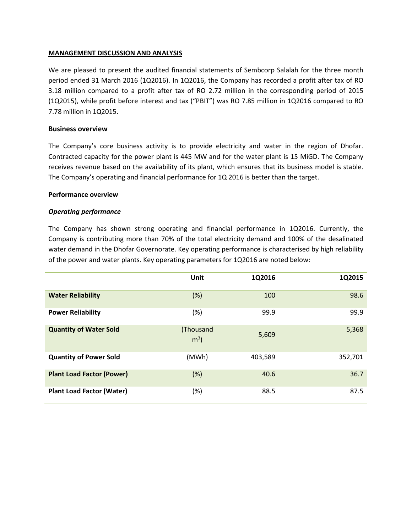## **MANAGEMENT DISCUSSION AND ANALYSIS**

We are pleased to present the audited financial statements of Sembcorp Salalah for the three month period ended 31 March 2016 (1Q2016). In 1Q2016, the Company has recorded a profit after tax of RO 3.18 million compared to a profit after tax of RO 2.72 million in the corresponding period of 2015 (1Q2015), while profit before interest and tax ("PBIT") was RO 7.85 million in 1Q2016 compared to RO 7.78 million in 1Q2015.

## **Business overview**

The Company's core business activity is to provide electricity and water in the region of Dhofar. Contracted capacity for the power plant is 445 MW and for the water plant is 15 MiGD. The Company receives revenue based on the availability of its plant, which ensures that its business model is stable. The Company's operating and financial performance for 1Q 2016 is better than the target.

### **Performance overview**

## *Operating performance*

The Company has shown strong operating and financial performance in 1Q2016. Currently, the Company is contributing more than 70% of the total electricity demand and 100% of the desalinated water demand in the Dhofar Governorate. Key operating performance is characterised by high reliability of the power and water plants. Key operating parameters for 1Q2016 are noted below:

|                                  | Unit                        | 1Q2016  | 1Q2015  |
|----------------------------------|-----------------------------|---------|---------|
| <b>Water Reliability</b>         | (%)                         | 100     | 98.6    |
| <b>Power Reliability</b>         | (%)                         | 99.9    | 99.9    |
| <b>Quantity of Water Sold</b>    | (Thousand<br>m <sup>3</sup> | 5,609   | 5,368   |
| <b>Quantity of Power Sold</b>    | (MWh)                       | 403,589 | 352,701 |
| <b>Plant Load Factor (Power)</b> | (%)                         | 40.6    | 36.7    |
| <b>Plant Load Factor (Water)</b> | (%)                         | 88.5    | 87.5    |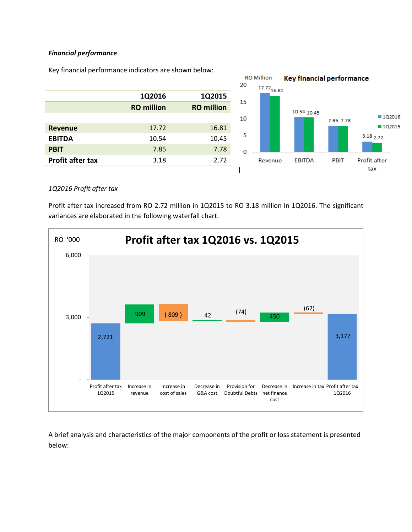## *Financial performance*



Key financial performance indicators are shown below:

## *1Q2016 Profit after tax*

Profit after tax increased from RO 2.72 million in 1Q2015 to RO 3.18 million in 1Q2016. The significant variances are elaborated in the following waterfall chart.



A brief analysis and characteristics of the major components of the profit or loss statement is presented below: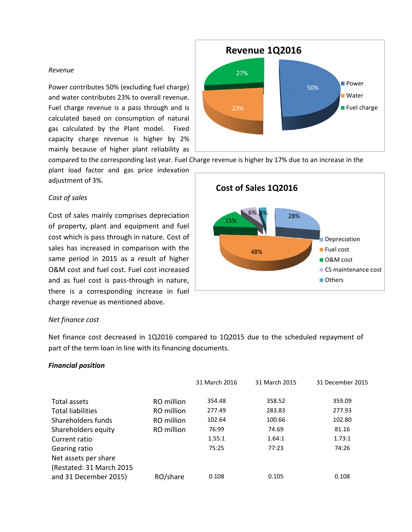### *Revenue*

Power contributes 50% (excluding fuel charge) and water contributes 23% to overall revenue. Fuel charge revenue is a pass through and is calculated based on consumption of natural gas calculated by the Plant model. Fixed capacity charge revenue is higher by 2% mainly because of higher plant reliability as

compared to the corresponding last year. Fuel Charge revenue is higher by 17% due to an increase in the

23%

27%

**Revenue 1Q2016**

plant load factor and gas price indexation adjustment of 3%.

# *Cost of sales*

Cost of sales mainly comprises depreciation of property, plant and equipment and fuel cost which is pass through in nature. Cost of sales has increased in comparison with the same period in 2015 as a result of higher O&M cost and fuel cost. Fuel cost increased and as fuel cost is pass-through in nature, there is a corresponding increase in fuel charge revenue as mentioned above.



50%

**Power** Water

**Fuel charge** 

#### *Net finance cost*

Net finance cost decreased in 1Q2016 compared to 1Q2015 due to the scheduled repayment of part of the term loan in line with its financing documents.

## *Financial position*

|                                                   |            | 31 March 2016 | 31 March 2015 | 31 December 2015 |
|---------------------------------------------------|------------|---------------|---------------|------------------|
| Total assets                                      | RO million | 354.48        | 358.52        | 359.09           |
| <b>Total liabilities</b>                          | RO million | 277.49        | 283.83        | 277.93           |
| Shareholders funds                                | RO million | 102.64        | 100.66        | 102.80           |
| Shareholders equity                               | RO million | 76.99         | 74.69         | 81.16            |
| Current ratio                                     |            | 1.55:1        | 1.64:1        | 1.73:1           |
| Gearing ratio                                     |            | 75:25         | 77:23         | 74:26            |
| Net assets per share                              |            |               |               |                  |
| (Restated: 31 March 2015<br>and 31 December 2015) | RO/share   | 0.108         | 0.105         | 0.108            |